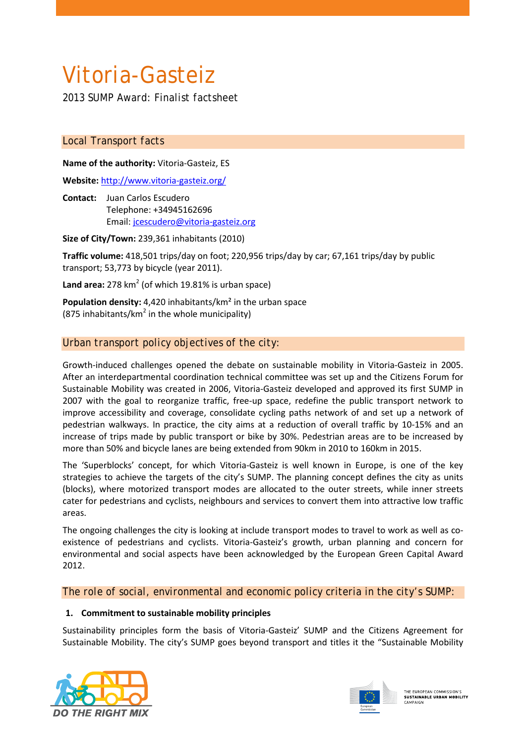# Vitoria-Gasteiz

*2013 SUMP Award: Finalist factsheet*

## *Local Transport facts*

**Name of the authority:** Vitoria-Gasteiz, ES

**Website:** <http://www.vitoria-gasteiz.org/>

**Contact:** Juan Carlos Escudero Telephone: +34945162696 Email: jcescudero@vitoria-gasteiz.org

**Size of City/Town:** 239,361 inhabitants (2010)

**Traffic volume:** 418,501 trips/day on foot; 220,956 trips/day by car; 67,161 trips/day by public transport; 53,773 by bicycle (year 2011).

Land area: 278 km<sup>2</sup> (of which 19.81% is urban space)

**Population density:** 4,420 inhabitants/km² in the urban space (875 inhabitants/ $km^2$  in the whole municipality)

# *Urban transport policy objectives of the city:*

Growth-induced challenges opened the debate on sustainable mobility in Vitoria-Gasteiz in 2005. After an interdepartmental coordination technical committee was set up and the Citizens Forum for Sustainable Mobility was created in 2006, Vitoria-Gasteiz developed and approved its first SUMP in 2007 with the goal to reorganize traffic, free-up space, redefine the public transport network to improve accessibility and coverage, consolidate cycling paths network of and set up a network of pedestrian walkways. In practice, the city aims at a reduction of overall traffic by 10-15% and an increase of trips made by public transport or bike by 30%. Pedestrian areas are to be increased by more than 50% and bicycle lanes are being extended from 90km in 2010 to 160km in 2015.

The 'Superblocks' concept, for which Vitoria-Gasteiz is well known in Europe, is one of the key strategies to achieve the targets of the city's SUMP. The planning concept defines the city as units (blocks), where motorized transport modes are allocated to the outer streets, while inner streets cater for pedestrians and cyclists, neighbours and services to convert them into attractive low traffic areas.

The ongoing challenges the city is looking at include transport modes to travel to work as well as coexistence of pedestrians and cyclists. Vitoria-Gasteiz's growth, urban planning and concern for environmental and social aspects have been acknowledged by the European Green Capital Award 2012.

*The role of social, environmental and economic policy criteria in the city's SUMP:*

## **1. Commitment to sustainable mobility principles**

Sustainability principles form the basis of Vitoria-Gasteiz' SUMP and the Citizens Agreement for Sustainable Mobility. The city's SUMP goes beyond transport and titles it the "Sustainable Mobility





THE EUROPEAN COMMISSION'S<br>**SUSTAINABLE URBAN MOBILITY**<br>CAMPAIGN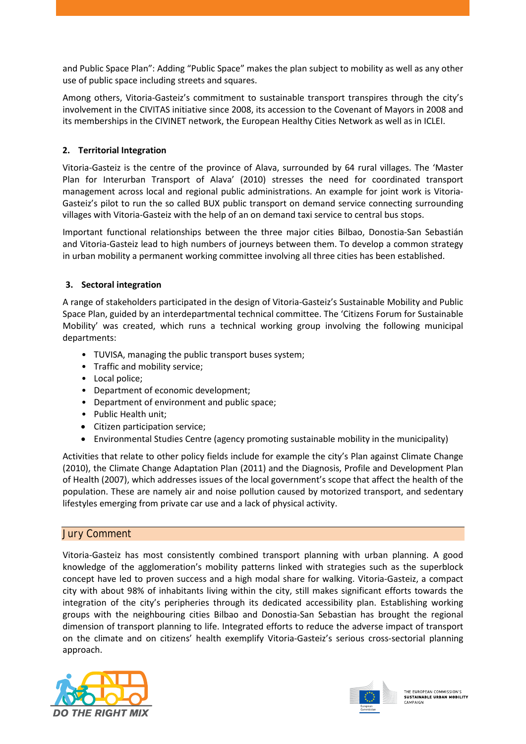and Public Space Plan": Adding "Public Space" makes the plan subject to mobility as well as any other use of public space including streets and squares.

Among others, Vitoria-Gasteiz's commitment to sustainable transport transpires through the city's involvement in the CIVITAS initiative since 2008, its accession to the Covenant of Mayors in 2008 and its memberships in the CIVINET network, the European Healthy Cities Network as well as in ICLEI.

## **2. Territorial Integration**

Vitoria-Gasteiz is the centre of the province of Alava, surrounded by 64 rural villages. The 'Master Plan for Interurban Transport of Alava' (2010) stresses the need for coordinated transport management across local and regional public administrations. An example for joint work is Vitoria-Gasteiz's pilot to run the so called BUX public transport on demand service connecting surrounding villages with Vitoria-Gasteiz with the help of an on demand taxi service to central bus stops.

Important functional relationships between the three major cities Bilbao, Donostia-San Sebastián and Vitoria-Gasteiz lead to high numbers of journeys between them. To develop a common strategy in urban mobility a permanent working committee involving all three cities has been established.

## **3. Sectoral integration**

A range of stakeholders participated in the design of Vitoria-Gasteiz's Sustainable Mobility and Public Space Plan, guided by an interdepartmental technical committee. The 'Citizens Forum for Sustainable Mobility' was created, which runs a technical working group involving the following municipal departments:

- TUVISA, managing the public transport buses system;
- Traffic and mobility service;
- Local police;
- Department of economic development;
- Department of environment and public space;
- Public Health unit;
- Citizen participation service;
- Environmental Studies Centre (agency promoting sustainable mobility in the municipality)

Activities that relate to other policy fields include for example the city's Plan against Climate Change (2010), the Climate Change Adaptation Plan (2011) and the Diagnosis, Profile and Development Plan of Health (2007), which addresses issues of the local government's scope that affect the health of the population. These are namely air and noise pollution caused by motorized transport, and sedentary lifestyles emerging from private car use and a lack of physical activity.

## *Jury Comment*

Vitoria-Gasteiz has most consistently combined transport planning with urban planning. A good knowledge of the agglomeration's mobility patterns linked with strategies such as the superblock concept have led to proven success and a high modal share for walking. Vitoria-Gasteiz, a compact city with about 98% of inhabitants living within the city, still makes significant efforts towards the integration of the city's peripheries through its dedicated accessibility plan. Establishing working groups with the neighbouring cities Bilbao and Donostia-San Sebastian has brought the regional dimension of transport planning to life. Integrated efforts to reduce the adverse impact of transport on the climate and on citizens' health exemplify Vitoria-Gasteiz's serious cross-sectorial planning approach.



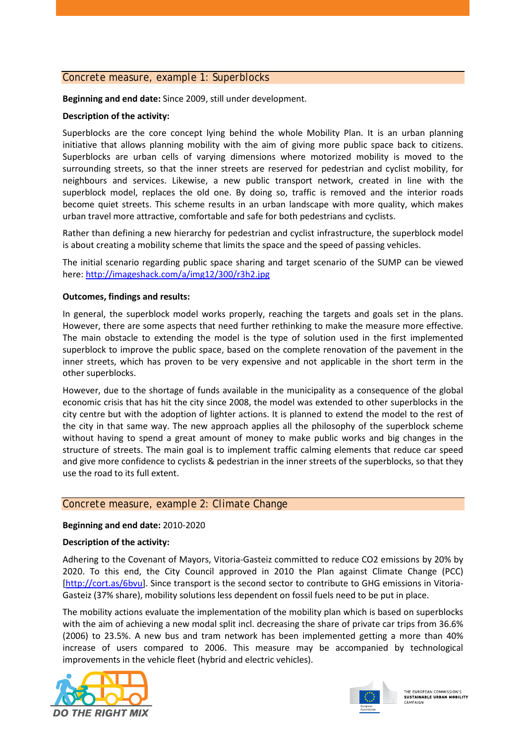#### *Concrete measure, example 1: Superblocks*

**Beginning and end date:** Since 2009, still under development.

#### **Description of the activity:**

Superblocks are the core concept lying behind the whole Mobility Plan. It is an urban planning initiative that allows planning mobility with the aim of giving more public space back to citizens. Superblocks are urban cells of varying dimensions where motorized mobility is moved to the surrounding streets, so that the inner streets are reserved for pedestrian and cyclist mobility, for neighbours and services. Likewise, a new public transport network, created in line with the superblock model, replaces the old one. By doing so, traffic is removed and the interior roads become quiet streets. This scheme results in an urban landscape with more quality, which makes urban travel more attractive, comfortable and safe for both pedestrians and cyclists.

Rather than defining a new hierarchy for pedestrian and cyclist infrastructure, the superblock model is about creating a mobility scheme that limits the space and the speed of passing vehicles.

The initial scenario regarding public space sharing and target scenario of the SUMP can be viewed here:<http://imageshack.com/a/img12/300/r3h2.jpg>

#### **Outcomes, findings and results:**

In general, the superblock model works properly, reaching the targets and goals set in the plans. However, there are some aspects that need further rethinking to make the measure more effective. The main obstacle to extending the model is the type of solution used in the first implemented superblock to improve the public space, based on the complete renovation of the pavement in the inner streets, which has proven to be very expensive and not applicable in the short term in the other superblocks.

However, due to the shortage of funds available in the municipality as a consequence of the global economic crisis that has hit the city since 2008, the model was extended to other superblocks in the city centre but with the adoption of lighter actions. It is planned to extend the model to the rest of the city in that same way. The new approach applies all the philosophy of the superblock scheme without having to spend a great amount of money to make public works and big changes in the structure of streets. The main goal is to implement traffic calming elements that reduce car speed and give more confidence to cyclists & pedestrian in the inner streets of the superblocks, so that they use the road to its full extent.

#### *Concrete measure, example 2: Climate Change*

#### **Beginning and end date:** 2010-2020

#### **Description of the activity:**

Adhering to the Covenant of Mayors, Vitoria-Gasteiz committed to reduce CO2 emissions by 20% by 2020. To this end, the City Council approved in 2010 the Plan against Climate Change (PCC) [\[http://cort.as/6bvu\]](http://cort.as/6bvu). Since transport is the second sector to contribute to GHG emissions in Vitoria-Gasteiz (37% share), mobility solutions less dependent on fossil fuels need to be put in place.

The mobility actions evaluate the implementation of the mobility plan which is based on superblocks with the aim of achieving a new modal split incl. decreasing the share of private car trips from 36.6% (2006) to 23.5%. A new bus and tram network has been implemented getting a more than 40% increase of users compared to 2006. This measure may be accompanied by technological improvements in the vehicle fleet (hybrid and electric vehicles).





THE EUROPEAN COMMISSION'S THE EUROPEAN COMMISSION S<br>SUSTAINABLE URBAN MOBILITY CAMPAIGN